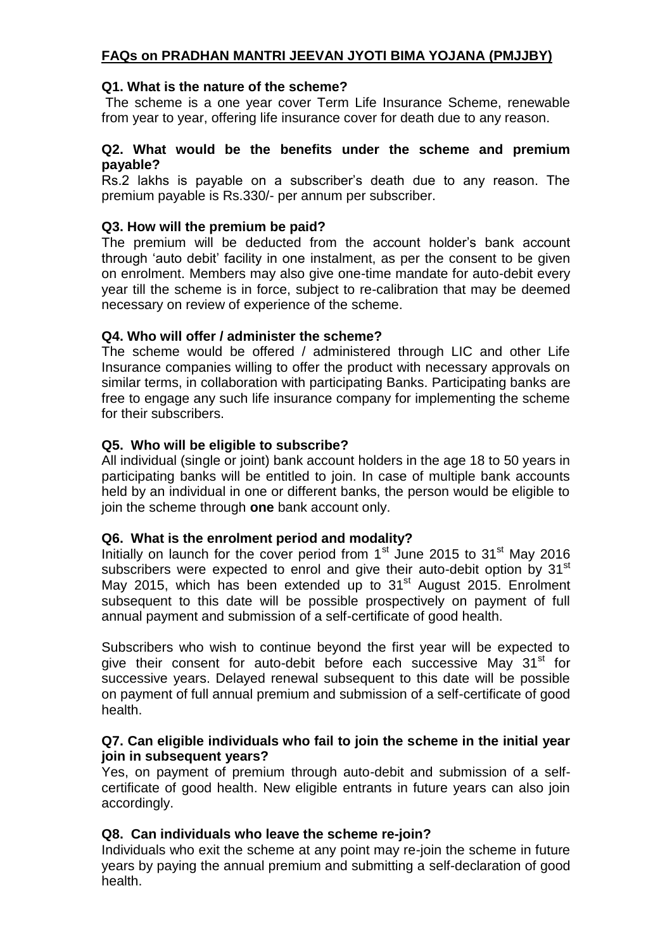# **FAQs on PRADHAN MANTRI JEEVAN JYOTI BIMA YOJANA (PMJJBY)**

### **Q1. What is the nature of the scheme?**

The scheme is a one year cover Term Life Insurance Scheme, renewable from year to year, offering life insurance cover for death due to any reason.

### **Q2. What would be the benefits under the scheme and premium payable?**

Rs.2 lakhs is payable on a subscriber's death due to any reason. The premium payable is Rs.330/- per annum per subscriber.

### **Q3. How will the premium be paid?**

The premium will be deducted from the account holder's bank account through 'auto debit' facility in one instalment, as per the consent to be given on enrolment. Members may also give one-time mandate for auto-debit every year till the scheme is in force, subject to re-calibration that may be deemed necessary on review of experience of the scheme.

## **Q4. Who will offer / administer the scheme?**

The scheme would be offered / administered through LIC and other Life Insurance companies willing to offer the product with necessary approvals on similar terms, in collaboration with participating Banks. Participating banks are free to engage any such life insurance company for implementing the scheme for their subscribers.

### **Q5. Who will be eligible to subscribe?**

All individual (single or joint) bank account holders in the age 18 to 50 years in participating banks will be entitled to join. In case of multiple bank accounts held by an individual in one or different banks, the person would be eligible to join the scheme through **one** bank account only.

### **Q6. What is the enrolment period and modality?**

Initially on launch for the cover period from  $1<sup>st</sup>$  June 2015 to  $31<sup>st</sup>$  May 2016 subscribers were expected to enrol and give their auto-debit option by 31<sup>st</sup> May 2015, which has been extended up to  $31<sup>st</sup>$  August 2015. Enrolment subsequent to this date will be possible prospectively on payment of full annual payment and submission of a self-certificate of good health.

Subscribers who wish to continue beyond the first year will be expected to give their consent for auto-debit before each successive May 31<sup>st</sup> for successive years. Delayed renewal subsequent to this date will be possible on payment of full annual premium and submission of a self-certificate of good health.

### **Q7. Can eligible individuals who fail to join the scheme in the initial year join in subsequent years?**

Yes, on payment of premium through auto-debit and submission of a selfcertificate of good health. New eligible entrants in future years can also join accordingly.

## **Q8. Can individuals who leave the scheme re-join?**

Individuals who exit the scheme at any point may re-join the scheme in future years by paying the annual premium and submitting a self-declaration of good health.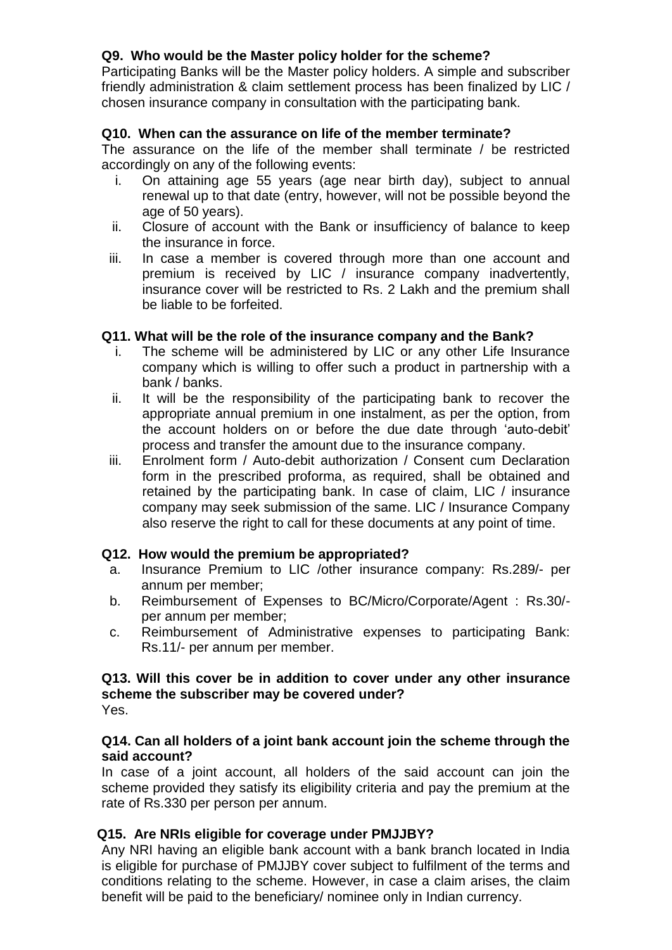# **Q9. Who would be the Master policy holder for the scheme?**

Participating Banks will be the Master policy holders. A simple and subscriber friendly administration & claim settlement process has been finalized by LIC / chosen insurance company in consultation with the participating bank.

## **Q10. When can the assurance on life of the member terminate?**

The assurance on the life of the member shall terminate / be restricted accordingly on any of the following events:

- i. On attaining age 55 years (age near birth day), subject to annual renewal up to that date (entry, however, will not be possible beyond the age of 50 years).
- ii. Closure of account with the Bank or insufficiency of balance to keep the insurance in force.
- iii. In case a member is covered through more than one account and premium is received by LIC / insurance company inadvertently, insurance cover will be restricted to Rs. 2 Lakh and the premium shall be liable to be forfeited.

### **Q11. What will be the role of the insurance company and the Bank?**

- i. The scheme will be administered by LIC or any other Life Insurance company which is willing to offer such a product in partnership with a bank / banks.
- ii. It will be the responsibility of the participating bank to recover the appropriate annual premium in one instalment, as per the option, from the account holders on or before the due date through 'auto-debit' process and transfer the amount due to the insurance company.
- iii. Enrolment form / Auto-debit authorization / Consent cum Declaration form in the prescribed proforma, as required, shall be obtained and retained by the participating bank. In case of claim, LIC / insurance company may seek submission of the same. LIC / Insurance Company also reserve the right to call for these documents at any point of time.

## **Q12. How would the premium be appropriated?**

- a. Insurance Premium to LIC /other insurance company: Rs.289/- per annum per member;
- b. Reimbursement of Expenses to BC/Micro/Corporate/Agent : Rs.30/ per annum per member;
- c. Reimbursement of Administrative expenses to participating Bank: Rs.11/- per annum per member.

#### **Q13. Will this cover be in addition to cover under any other insurance scheme the subscriber may be covered under?** Yes.

## **Q14. Can all holders of a joint bank account join the scheme through the said account?**

In case of a joint account, all holders of the said account can join the scheme provided they satisfy its eligibility criteria and pay the premium at the rate of Rs.330 per person per annum.

## **Q15. Are NRIs eligible for coverage under PMJJBY?**

Any NRI having an eligible bank account with a bank branch located in India is eligible for purchase of PMJJBY cover subject to fulfilment of the terms and conditions relating to the scheme. However, in case a claim arises, the claim benefit will be paid to the beneficiary/ nominee only in Indian currency.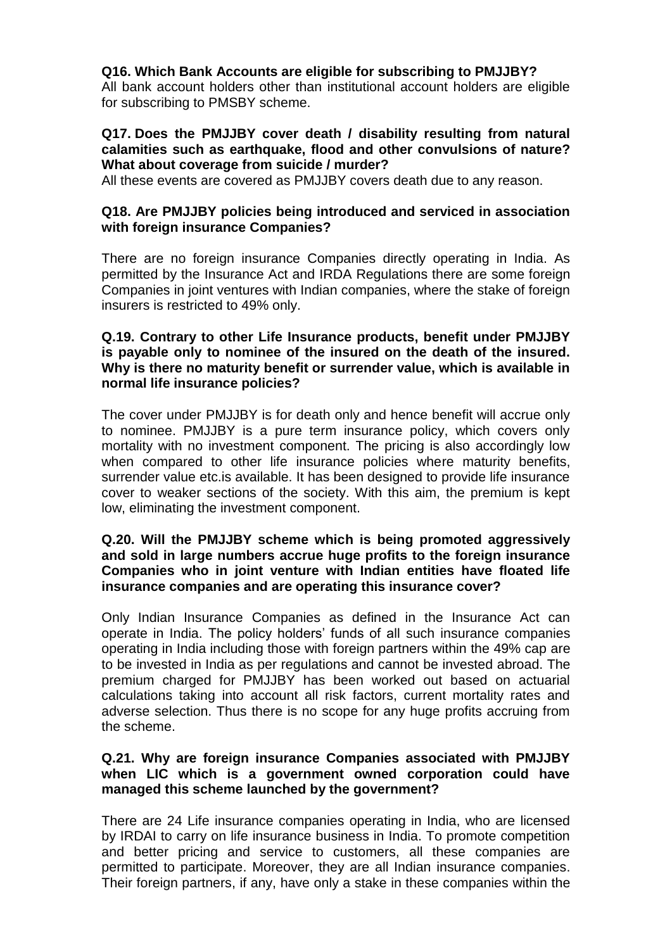## **Q16. Which Bank Accounts are eligible for subscribing to PMJJBY?**

All bank account holders other than institutional account holders are eligible for subscribing to PMSBY scheme.

### **Q17. Does the PMJJBY cover death / disability resulting from natural calamities such as earthquake, flood and other convulsions of nature? What about coverage from suicide / murder?**

All these events are covered as PMJJBY covers death due to any reason.

## **Q18. Are PMJJBY policies being introduced and serviced in association with foreign insurance Companies?**

There are no foreign insurance Companies directly operating in India. As permitted by the Insurance Act and IRDA Regulations there are some foreign Companies in joint ventures with Indian companies, where the stake of foreign insurers is restricted to 49% only.

## **Q.19. Contrary to other Life Insurance products, benefit under PMJJBY is payable only to nominee of the insured on the death of the insured. Why is there no maturity benefit or surrender value, which is available in normal life insurance policies?**

The cover under PMJJBY is for death only and hence benefit will accrue only to nominee. PMJJBY is a pure term insurance policy, which covers only mortality with no investment component. The pricing is also accordingly low when compared to other life insurance policies where maturity benefits, surrender value etc.is available. It has been designed to provide life insurance cover to weaker sections of the society. With this aim, the premium is kept low, eliminating the investment component.

### **Q.20. Will the PMJJBY scheme which is being promoted aggressively and sold in large numbers accrue huge profits to the foreign insurance Companies who in joint venture with Indian entities have floated life insurance companies and are operating this insurance cover?**

Only Indian Insurance Companies as defined in the Insurance Act can operate in India. The policy holders' funds of all such insurance companies operating in India including those with foreign partners within the 49% cap are to be invested in India as per regulations and cannot be invested abroad. The premium charged for PMJJBY has been worked out based on actuarial calculations taking into account all risk factors, current mortality rates and adverse selection. Thus there is no scope for any huge profits accruing from the scheme.

### **Q.21. Why are foreign insurance Companies associated with PMJJBY when LIC which is a government owned corporation could have managed this scheme launched by the government?**

There are 24 Life insurance companies operating in India, who are licensed by IRDAI to carry on life insurance business in India. To promote competition and better pricing and service to customers, all these companies are permitted to participate. Moreover, they are all Indian insurance companies. Their foreign partners, if any, have only a stake in these companies within the